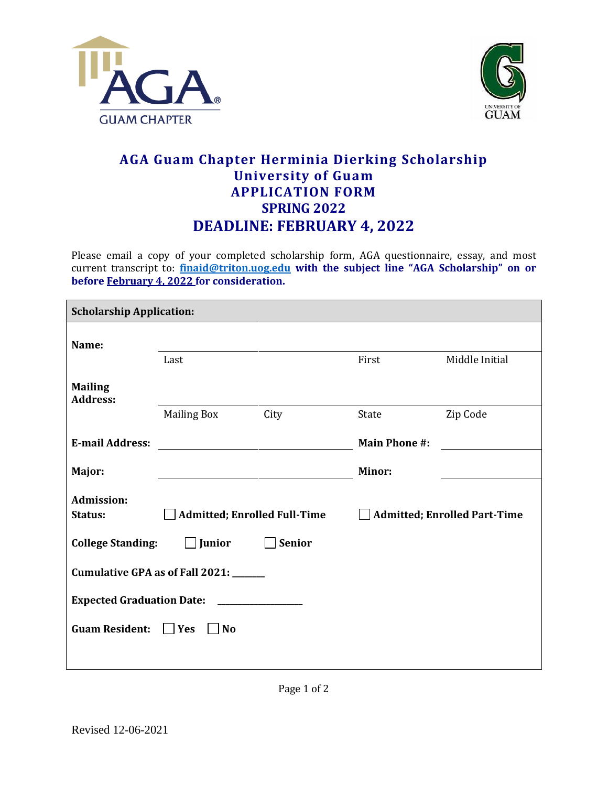



## **AGA Guam Chapter Herminia Dierking Scholarship University of Guam APPLICATION FORM SPRING 2022 DEADLINE: FEBRUARY 4, 2022**

Please email a copy of your completed scholarship form, AGA questionnaire, essay, and most current transcript to: **[finaid@triton.uog.edu](mailto:finaid@triton.uog.edu) with the subject line "AGA Scholarship" on or before February 4, 2022 for consideration.**

| <b>Scholarship Application:</b>                |                                     |               |                                     |                |
|------------------------------------------------|-------------------------------------|---------------|-------------------------------------|----------------|
| Name:                                          |                                     |               |                                     |                |
|                                                | Last                                |               | First                               | Middle Initial |
| <b>Mailing</b><br><b>Address:</b>              |                                     |               |                                     |                |
|                                                | <b>Mailing Box</b>                  | City          | State                               | Zip Code       |
| <b>E-mail Address:</b>                         |                                     |               | <b>Main Phone #:</b>                |                |
| Major:                                         |                                     |               | <b>Minor:</b>                       |                |
| <b>Admission:</b><br>Status:                   | <b>Admitted; Enrolled Full-Time</b> |               | <b>Admitted; Enrolled Part-Time</b> |                |
| <b>College Standing:</b>                       | $\Box$ Junior                       | <b>Senior</b> |                                     |                |
| Cumulative GPA as of Fall 2021: _____          |                                     |               |                                     |                |
| <b>Expected Graduation Date:</b>               |                                     |               |                                     |                |
| <b>Guam Resident:</b><br>Yes<br>N <sub>0</sub> |                                     |               |                                     |                |
|                                                |                                     |               |                                     |                |